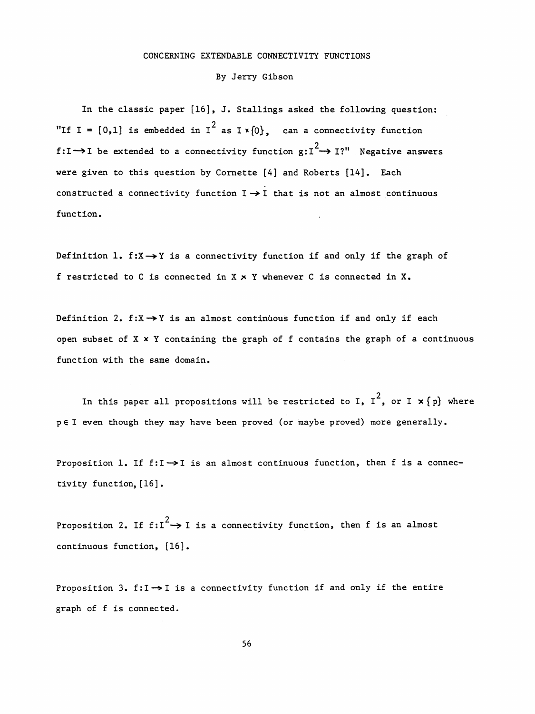## CONCERNING EXTENDABLE CONNECTIVITY FUNCTIONS

## By Jerry Gibson

 In the classic paper [16], J. Stallings asked the following question: "If I =  $[0,1]$  is embedded in I<sup>2</sup> as I  $\times$   $\{0\}$ , can a connectivity function  $f:I\rightarrow I$  be extended to a connectivity function  $g:I^2\rightarrow I$ ?" Negative answers were given to this question by Cornette [4] and Roberts [14], Each constructed a connectivity function  $I \rightarrow I$  that is not an almost continuous function.

Definition 1.  $f: X \rightarrow Y$  is a connectivity function if and only if the graph of f restricted to C is connected in  $X \times Y$  whenever C is connected in  $X$ .

Definition 2. f: $X \rightarrow Y$  is an almost continuous function if and only if each open subset of  $X \times Y$  containing the graph of f contains the graph of a continuous function with the same domain.

In this paper all propositions will be restricted to I,  $I^2$ , or I  $\textbf{x}\left\{\textbf{p}\right\}$  where pel even though they may have been proved (or maybe proved) more generally.

Proposition 1. If  $f:I\rightarrow I$  is an almost continuous function, then f is a connectivity function, [16] .

Proposition 2. If  $f:I^2 \rightarrow I$  is a connectivity function, then f is an almost continuous function, [16] .

Proposition 3.  $f:I \rightarrow I$  is a connectivity function if and only if the entire graph of f is connected.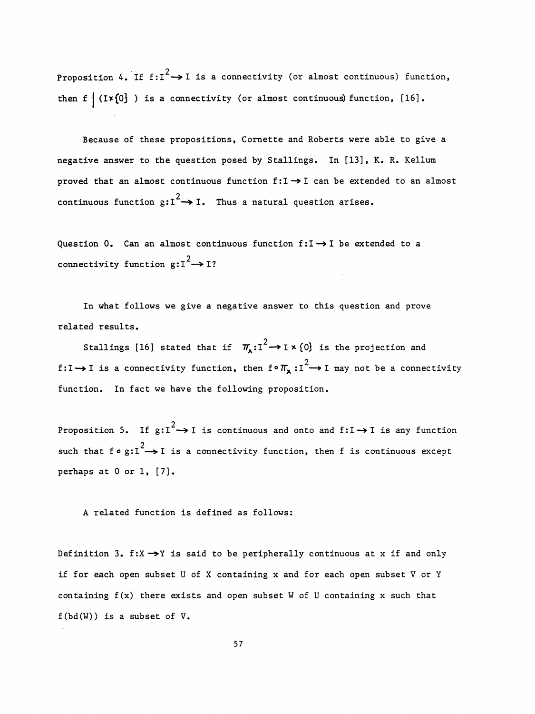Proposition 4. If  $f:I^2 \rightarrow I$  is a connectivity (or almost continuous) function, then f  $(1*(0)$  ) is a connectivity (or almost continuous) function,  $[16]$ .

 Because of these propositions, Cornette and Roberts were able to give a negative answer to the question posed by Stallings. In [13], K. R. Kellum proved that an almost continuous function  $f:I\rightarrow I$  can be extended to an almost continuous function  $g:I^2 \rightarrow I$ . Thus a natural question arises.

Question 0. Can an almost continuous function  $f:I\rightarrow I$  be extended to a connectivity function  $g:I^2 \rightarrow I$ ?

 In what follows we give a negative answer to this question and prove related results.

Stallings [16] stated that if  $\pi_x: I^2 \to I \times \{0\}$  2 f:I  $\gamma$  is a connectivity function, then  $f''(x)$ : function. In fact we have the following proposition.

Proposition 5. If  $g:I^2 \rightarrow I$  is continuous and onto and  $f:I \rightarrow I$  is any function such that f $\circ$  g:I<sup>2</sup>  $\rightarrow$  I is a connectivity function, then f is continuous except perhaps at 0 or 1, [7].

A related function is defined as follows:

Definition 3. f:X  $\rightarrow$ Y is said to be peripherally continuous at x if and only if for each open subset U of X containing x and for each open subset V or Y containing  $f(x)$  there exists and open subset W of U containing x such that  $f(bd(W))$  is a subset of  $V$ .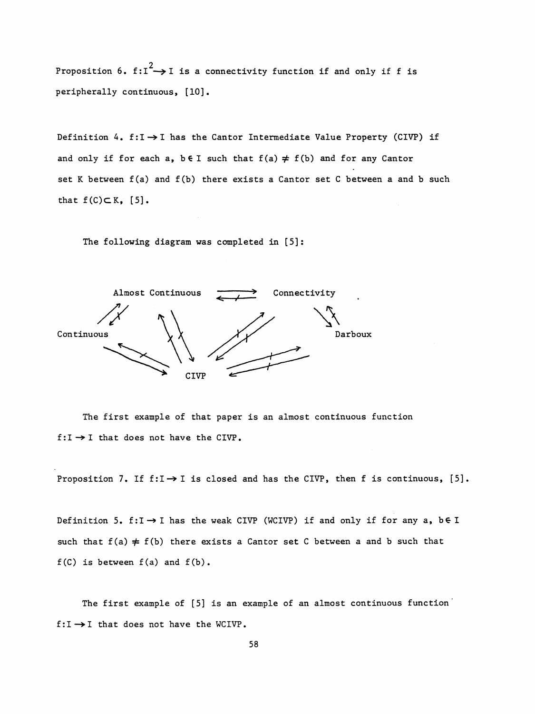Proposition 6.  $f:I^2 \rightarrow I$  is a connectivity function if and only if f is peripherally continuous, [10].

Definition 4. f:I  $\rightarrow$  I has the Cantor Intermediate Value Property (CIVP) if and only if for each a,  $b \in I$  such that  $f(a) \neq f(b)$  and for any Cantor set K between  $f(a)$  and  $f(b)$  there exists a Cantor set C between a and b such that  $f(C) \subset K$ , [5].

The following diagram was completed in [5]:



 The first example of that paper is an almost continuous function  $f:I\rightarrow I$  that does not have the CIVP.

Proposition 7. If  $f:I \rightarrow I$  is closed and has the CIVP, then f is continuous, [5].

Definition 5. f:I  $\rightarrow$  I has the weak CIVP (WCIVP) if and only if for any a, b $\in$  I such that  $f(a) \neq f(b)$  there exists a Cantor set C between a and b such that  $f(C)$  is between  $f(a)$  and  $f(b)$ .

The first example of [5] is an example of an almost continuous function  $f:I\rightarrow I$  that does not have the WCIVP.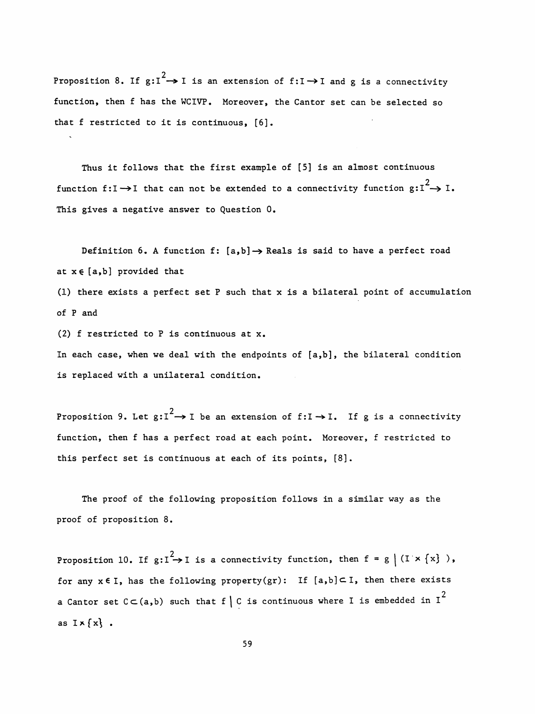Proposition 8. If  $g:I^2 \rightarrow I$  is an extension of  $f:I \rightarrow I$  and  $g$  is a connectivity function, then f has the WCIVP. Moreover, the Cantor set can be selected so that f restricted to it is continuous, [6].

 Thus it follows that the first example of [5] is an almost continuous function f:I  $\rightarrow$ I that can not be extended to a connectivity function  $\text{g:I}^2 \rightarrow 1$ . This gives a negative answer to Question 0.

Definition 6. A function f:  $[a,b] \rightarrow$  Reals is said to have a perfect road at  $x \in [a,b]$  provided that

 (1) there exists a perfect set P such that x is a bilateral point of accumulation of P and

(2) f restricted to P is continuous at x.

 In each case, when we deal with the endpoints of [a,b], the bilateral condition is replaced with a unilateral condition.

Proposition 9. Let  $g:I^2 \rightarrow I$  be an extension of  $f:I \rightarrow I$ . If  $g$  is a connectivity function, then f has a perfect road at each point. Moreover, f restricted to this perfect set is continuous at each of its points, [8].

 The proof of the following proposition follows in a similar way as the proof of proposition 8.

Proposition 10. If  $g: I^2 \rightarrow I$  is a connectivity function, then  $f = g \mid (I \times \{x\})$ , for any  $x \in I$ , has the following property(gr): If  $[a,b] \subset I$ , then there exists a Cantor set C $\subset$ (a,b) such that f  $\mid$  C is continuous where I is embedded in I $^2$ as  $I \times \{x\}$ .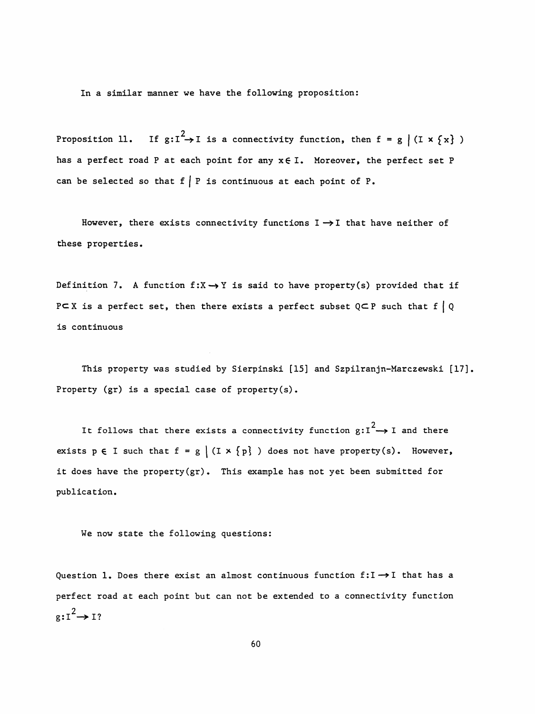In a similar manner we have the following proposition:

 2  $\sum_{i=1}^{n} P_i = \sum_{i=1}^{n} P_i = \sum_{i=1}^{n} P_i = \sum_{i=1}^{n} P_i = \sum_{i=1}^{n} P_i = \sum_{i=1}^{n} P_i = \sum_{i=1}^{n} P_i = \sum_{i=1}^{n} P_i = \sum_{i=1}^{n} P_i = \sum_{i=1}^{n} P_i = \sum_{i=1}^{n} P_i = \sum_{i=1}^{n} P_i = \sum_{i=1}^{n} P_i = \sum_{i=1}^{n} P_i = \sum_{i=1}^{n} P_i = \sum_{i=1}^{n} P_i = \sum_{i=1}^{n} P_i$ has a perfect road P at each point for any  $x \in I$ . Moreover, the perfect set P can be selected so that  $f \mid P$  is continuous at each point of P.

However, there exists connectivity functions  $I \rightarrow I$  that have neither of these properties.

Definition 7. A function  $f: X \rightarrow Y$  is said to have property(s) provided that if PC X is a perfect set, then there exists a perfect subset  $Q \subset P$  such that  $f \mid Q$ is continuous

This property was studied by Sierpinski [15] and Szpilranjn-Marczewski [17]. Property (gr) is a special case of property(s).

It follows that there exists a connectivity function  $g: I^2 \rightarrow I$  and there exists  $p \in I$  such that  $f = g | (I \times \{p\})$  does not have property(s). However, it does have the property (gr) . This example has not yet been submitted for publication.

We now state the following questions:

Question 1. Does there exist an almost continuous function  $f:I\rightarrow I$  that has a perfect road at each point but can not be extended to a connectivity function  $g:I^2\rightarrow I?$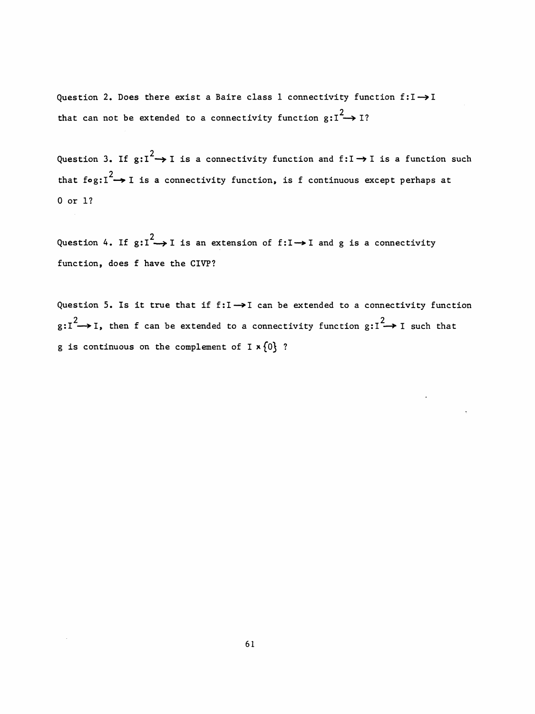Question 2. Does there exist a Baire class 1 connectivity function  $f:I\rightarrow I$ that can not be extended to a connectivity function  $g:I^2\rightarrow I$ ?

Question 3. If  $g:I^2 \rightarrow I$  is a connectivity function and  $f:I \rightarrow I$  is a function such that fog: $I^2 \rightarrow I$  is a connectivity function, is f continuous except perhaps at 0 or 1?

Question 4. If  $g:I^2 \rightarrow I$  is an extension of  $f:I \rightarrow I$  and g is a connectivity function, does f have the CIVP?

Question 5. Is it true that if  $f:I\rightarrow I$  can be extended to a connectivity function  $g:I^2 \rightarrow I$ , then f can be extended to a connectivity function  $g:I^2 \rightarrow I$  such that r 1?<br>stion 4. If  $g: I^2 \rightarrow I$  is an extension of f: $I \rightarrow I$  and g is a co<br>ction, does f have the CIVP?<br>stion 5. Is it true that if  $f:I \rightarrow I$  can be extended to a conn<br> $\rightarrow I$ , then f can be extended to a connectivity function  $g:$ g is continuous on the complement of  $I \times \{0\}$  ?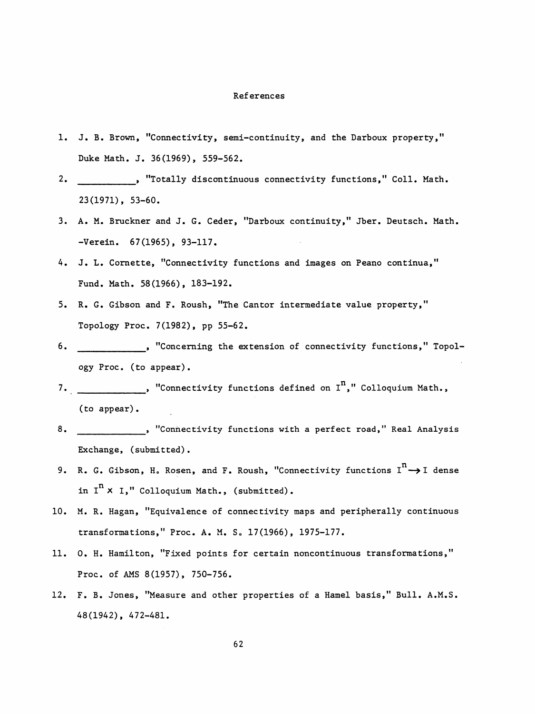## References

- 1. J. B. Brown, "Connectivity, semi-continuity, and the Darboux property," Duke Math. J. 36(1969), 559-562.
- , "Totally discontinuous connectivity functions," Coll. Math. 2. 23(1971), 53-60.
- 3. A. M. Bruckner and J. G. Ceder, "Darboux continuity," Jber. Deutsch. Math. -Verein. 67(1965), 93-117.
- 4. J. L. Cornette, "Connectivity functions and images on Peano continua," Fund. Math. 58(1966), 183-192.
- 5. R. G. Gibson and F. Roush, "The Cantor intermediate value property," Topology Proc. 7(1982), pp 55-62.
- , "Concerning the extension of connectivity functions," Topol- 6. ogy Proc. (to appear).
- 7. \_\_\_\_\_\_\_\_\_\_\_\_\_, "Connectivity functions defined on I<sup>n</sup>," Colloquium Math., (to appear).
- 8. Exchange, (submitted).
- 9. R. G. Gibson, H. Rosen, and F. Roush, "Connectivity functions  $I^{n} \rightarrow I$  dense in  $I<sup>n</sup>$  X I," Colloquium Math., (submitted).
- 10. M. R. Hagan, "Equivalence of connectivity maps and peripherally continuous transformations," Proc. A. M. S. 17(1966), 1975-177.
- 11. 0. H. Hamilton, "Fixed points for certain noncontinuous transformations," Proc. of AMS 8(1957), 750-756.
- 12. F. B. Jones, "Measure and other properties of a Hamel basis," Bull. A.M.S. 48(1942), 472-481.